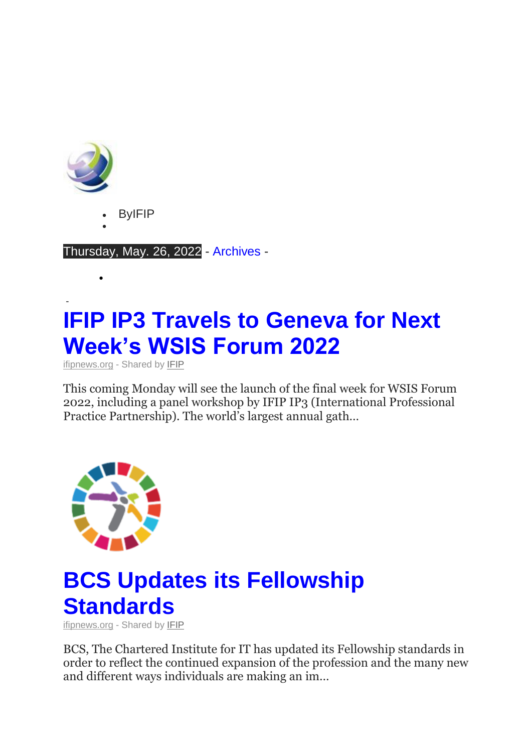

- ByIFIP
- $\bullet$

 $\bullet$ 

Thursday, May. 26, 2022 - [Archives](http://insights.ifipnews.org/) -

#### - **IFIP IP3 Travels to Geneva for Next [Week's WSIS Forum 2022](https://www.ifipnews.org/ifip-ip3-travels-geneva-next-weeks-wsis-forum-2022/)**

[ifipnews.org](https://ymlpcl7.net/8d304msqwavaewjyuagaubwalamysb/click.php) - Shared by [IFIP](https://ymlpcl7.net/4cb18msqqapaewjyuaiaubwaxamysb/click.php)

This coming Monday will see the launch of the final week for WSIS Forum 2022, including a panel workshop by IFIP IP3 (International Professional Practice Partnership). The world's largest annual gath…



#### **[BCS Updates its Fellowship](https://www.ifipnews.org/bcs-updates-fellowship-standards/)  [Standards](https://www.ifipnews.org/bcs-updates-fellowship-standards/)**

[ifipnews.org](https://ymlpcl7.net/8d304msqwavaewjyuagaubwalamysb/click.php) - Shared by [IFIP](https://ymlpcl7.net/4cb18msqqapaewjyuaiaubwaxamysb/click.php)

BCS, The Chartered Institute for IT has updated its Fellowship standards in order to reflect the continued expansion of the profession and the many new and different ways individuals are making an im…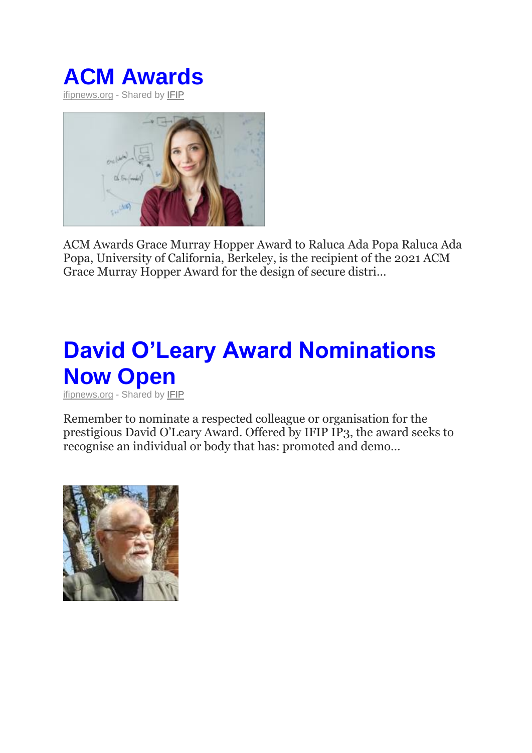



ACM Awards Grace Murray Hopper Award to Raluca Ada Popa Raluca Ada Popa, University of California, Berkeley, is the recipient of the 2021 ACM Grace Murray Hopper Award for the design of secure distri…

# **[David O'Leary Award Nominations](https://www.ifipnews.org/david-oleary-award-nominations-now-open/)  [Now Open](https://www.ifipnews.org/david-oleary-award-nominations-now-open/)**

[ifipnews.org](https://ymlpcl7.net/8d304msqwavaewjyuagaubwalamysb/click.php) - Shared by [IFIP](https://ymlpcl7.net/4cb18msqqapaewjyuaiaubwaxamysb/click.php)

Remember to nominate a respected colleague or organisation for the prestigious David O'Leary Award. Offered by IFIP IP3, the award seeks to recognise an individual or body that has: promoted and demo…

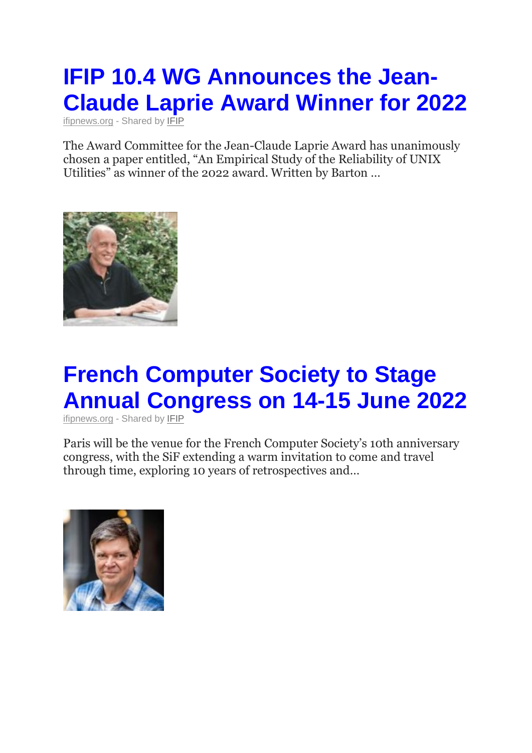# **[IFIP 10.4 WG Announces the Jean-](https://www.ifipnews.org/ifip-10-4-wg-announces-jean-claude-laprie-award-winner-2022/)[Claude Laprie Award Winner for 2022](https://www.ifipnews.org/ifip-10-4-wg-announces-jean-claude-laprie-award-winner-2022/)**

[ifipnews.org](https://ymlpcl7.net/8d304msqwavaewjyuagaubwalamysb/click.php) - Shared by [IFIP](https://ymlpcl7.net/4cb18msqqapaewjyuaiaubwaxamysb/click.php)

The Award Committee for the Jean-Claude Laprie Award has unanimously chosen a paper entitled, "An Empirical Study of the Reliability of UNIX Utilities" as winner of the 2022 award. Written by Barton …



# **[French Computer Society to Stage](https://www.ifipnews.org/french-computer-society-stage-annual-congress-14-15-june-2022/)  [Annual Congress on 14-15 June 2022](https://www.ifipnews.org/french-computer-society-stage-annual-congress-14-15-june-2022/)**

[ifipnews.org](https://ymlpcl7.net/8d304msqwavaewjyuagaubwalamysb/click.php) - Shared by [IFIP](https://ymlpcl7.net/4cb18msqqapaewjyuaiaubwaxamysb/click.php)

Paris will be the venue for the French Computer Society's 10th anniversary congress, with the SiF extending a warm invitation to come and travel through time, exploring 10 years of retrospectives and…

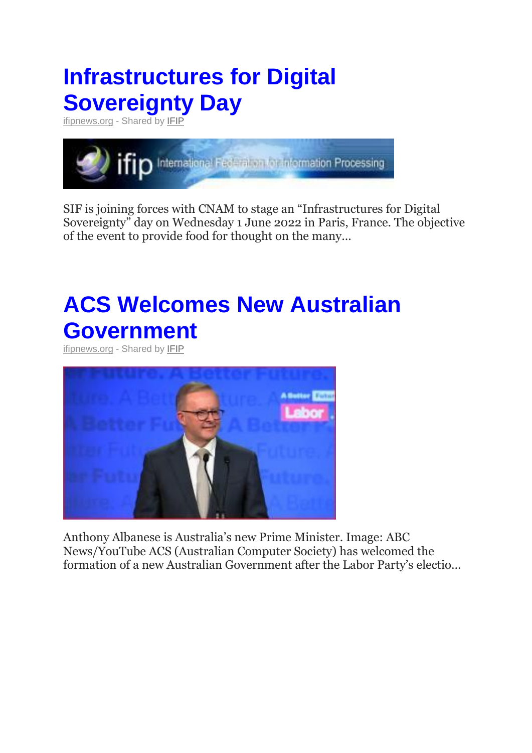### **[Infrastructures for Digital](https://www.ifipnews.org/infrastructures-digital-sovereignty-day/)  [Sovereignty Day](https://www.ifipnews.org/infrastructures-digital-sovereignty-day/)**

[ifipnews.org](https://ymlpcl7.net/8d304msqwavaewjyuagaubwalamysb/click.php) - Shared by [IFIP](https://ymlpcl7.net/4cb18msqqapaewjyuaiaubwaxamysb/click.php)



SIF is joining forces with CNAM to stage an "Infrastructures for Digital Sovereignty" day on Wednesday 1 June 2022 in Paris, France. The objective of the event to provide food for thought on the many…

## **[ACS Welcomes New Australian](https://www.ifipnews.org/acs-welcomes-new-australian-government/)  [Government](https://www.ifipnews.org/acs-welcomes-new-australian-government/)**

[ifipnews.org](https://ymlpcl7.net/8d304msqwavaewjyuagaubwalamysb/click.php) - Shared by [IFIP](https://ymlpcl7.net/4cb18msqqapaewjyuaiaubwaxamysb/click.php)



Anthony Albanese is Australia's new Prime Minister. Image: ABC News/YouTube ACS (Australian Computer Society) has welcomed the formation of a new Australian Government after the Labor Party's electio…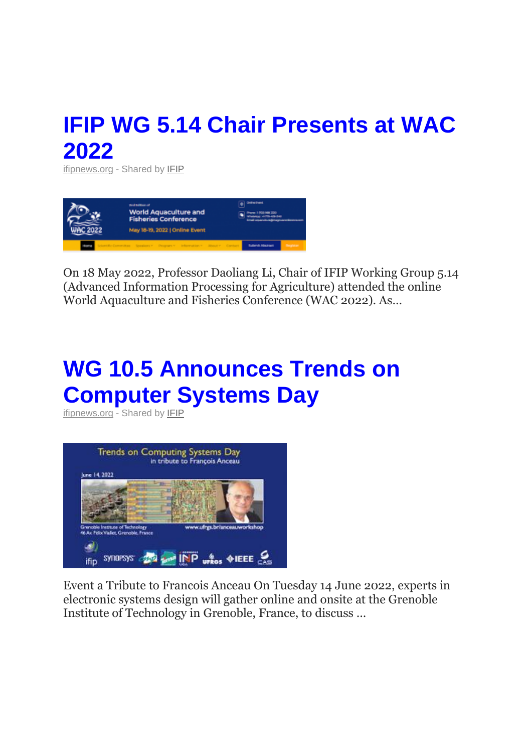#### **[IFIP WG 5.14 Chair Presents at WAC](https://www.ifipnews.org/ifip-wg-5-14-chair-presents-wac-2022/)  [2022](https://www.ifipnews.org/ifip-wg-5-14-chair-presents-wac-2022/)**

[ifipnews.org](https://ymlpcl7.net/8d304msqwavaewjyuagaubwalamysb/click.php) - Shared by **[IFIP](https://ymlpcl7.net/4cb18msqqapaewjyuaiaubwaxamysb/click.php)** 



On 18 May 2022, Professor Daoliang Li, Chair of IFIP Working Group 5.14 (Advanced Information Processing for Agriculture) attended the online World Aquaculture and Fisheries Conference (WAC 2022). As…

#### **[WG 10.5 Announces Trends on](https://www.ifipnews.org/wg-10-5-announces-trends-computer-systems-day/)  [Computer Systems Day](https://www.ifipnews.org/wg-10-5-announces-trends-computer-systems-day/)**

[ifipnews.org](https://ymlpcl7.net/8d304msqwavaewjyuagaubwalamysb/click.php) - Shared by [IFIP](https://ymlpcl7.net/4cb18msqqapaewjyuaiaubwaxamysb/click.php)



Event a Tribute to Francois Anceau On Tuesday 14 June 2022, experts in electronic systems design will gather online and onsite at the Grenoble Institute of Technology in Grenoble, France, to discuss …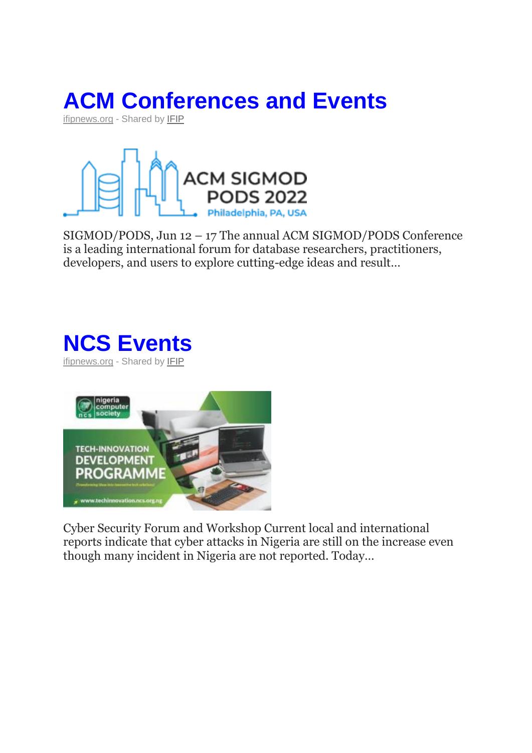



SIGMOD/PODS, Jun 12 – 17 The annual ACM SIGMOD/PODS Conference is a leading international forum for database researchers, practitioners, developers, and users to explore cutting-edge ideas and result…

#### **[NCS Events](https://www.ifipnews.org/ncs-events/)** [ifipnews.org](https://ymlpcl7.net/8d304msqwavaewjyuagaubwalamysb/click.php) - Shared by [IFIP](https://ymlpcl7.net/4cb18msqqapaewjyuaiaubwaxamysb/click.php)



Cyber Security Forum and Workshop Current local and international reports indicate that cyber attacks in Nigeria are still on the increase even though many incident in Nigeria are not reported. Today…